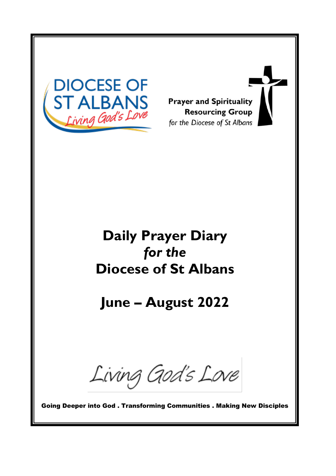

**Prayer and Spirituality Resourcing Group** for the Diocese of St Albans

# **Daily Prayer Diary** *for the* **Diocese of St Albans**

**June – August 2022**

Living God's Love

Going Deeper into God . Transforming Communities . Making New Disciples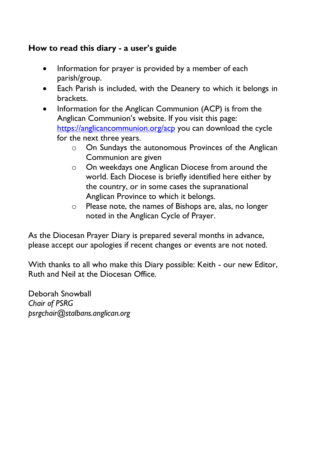## **How to read this diary - a user's guide**

- Information for prayer is provided by a member of each parish/group.
- Each Parish is included, with the Deanery to which it belongs in brackets.
- Information for the Anglican Communion (ACP) is from the Anglican Communion's website. If you visit this page: <https://anglicancommunion.org/acp> you can download the cycle for the next three years.
	- o On Sundays the autonomous Provinces of the Anglican Communion are given
	- o On weekdays one Anglican Diocese from around the world. Each Diocese is briefly identified here either by the country, or in some cases the supranational Anglican Province to which it belongs.
	- o Please note, the names of Bishops are, alas, no longer noted in the Anglican Cycle of Prayer.

As the Diocesan Prayer Diary is prepared several months in advance, please accept our apologies if recent changes or events are not noted.

With thanks to all who make this Diary possible: Keith - our new Editor, Ruth and Neil at the Diocesan Office.

Deborah Snowball *Chair of PSRG psrgchair@stalbans.anglican.org*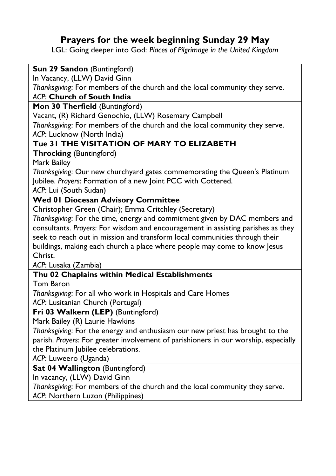# **Prayers for the week beginning Sunday 29 May**

LGL: Going deeper into God: *Places of Pilgrimage in the United Kingdom*

| Sun 29 Sandon (Buntingford)                                                                     |
|-------------------------------------------------------------------------------------------------|
| In Vacancy, (LLW) David Ginn                                                                    |
| Thanksgiving: For members of the church and the local community they serve.                     |
| ACP: Church of South India                                                                      |
| Mon 30 Therfield (Buntingford)                                                                  |
| Vacant, (R) Richard Genochio, (LLW) Rosemary Campbell                                           |
| Thanksgiving: For members of the church and the local community they serve.                     |
| ACP: Lucknow (North India)                                                                      |
| Tue 31 THE VISITATION OF MARY TO ELIZABETH                                                      |
| <b>Throcking (Buntingford)</b>                                                                  |
| Mark Bailey                                                                                     |
| Thanksgiving: Our new churchyard gates commemorating the Queen's Platinum                       |
| Jubilee. Prayers: Formation of a new Joint PCC with Cottered.                                   |
| ACP: Lui (South Sudan)                                                                          |
| <b>Wed 01 Diocesan Advisory Committee</b>                                                       |
| Christopher Green (Chair); Emma Critchley (Secretary)                                           |
| Thanksgiving: For the time, energy and commitment given by DAC members and                      |
| consultants. Prayers: For wisdom and encouragement in assisting parishes as they                |
| seek to reach out in mission and transform local communities through their                      |
| buildings, making each church a place where people may come to know Jesus                       |
| Christ.                                                                                         |
| ACP: Lusaka (Zambia)                                                                            |
| Thu 02 Chaplains within Medical Establishments                                                  |
| Tom Baron                                                                                       |
| Thanksgiving: For all who work in Hospitals and Care Homes                                      |
| ACP: Lusitanian Church (Portugal)                                                               |
| Fri 03 Walkern (LEP) (Buntingford)                                                              |
| Mark Bailey (R) Laurie Hawkins                                                                  |
| Thanksgiving: For the energy and enthusiasm our new priest has brought to the                   |
| parish. Prayers: For greater involvement of parishioners in our worship, especially             |
| the Platinum Jubilee celebrations.                                                              |
| $\Lambda$ CD, $\Lambda$ , $\Lambda$ , $\Lambda$ , $\Lambda$ , $\Lambda$ , $\Lambda$ , $\Lambda$ |

*ACP*: Luweero (Uganda)

**Sat 04 Wallington** (Buntingford)

In vacancy, (LLW) David Ginn

*Thanksgiving*: For members of the church and the local community they serve.

*ACP*: Northern Luzon (Philippines)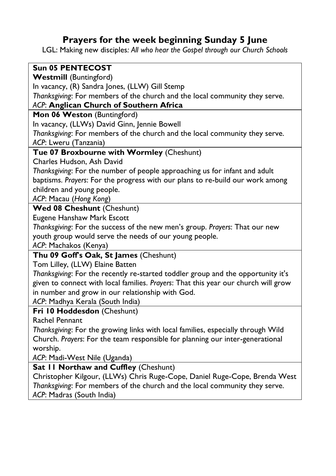# **Prayers for the week beginning Sunday 5 June**

LGL: Making new disciples*: All who hear the Gospel through our Church Schools*

#### **Sun 05 PENTECOST Westmill** (Buntingford) In vacancy, (R) Sandra Jones, (LLW) Gill Stemp *Thanksgiving*: For members of the church and the local community they serve. *ACP*: **Anglican Church of Southern Africa Mon 06 Weston** (Buntingford) In vacancy, (LLWs) David Ginn, Jennie Bowell *Thanksgiving*: For members of the church and the local community they serve. *ACP*: Lweru (Tanzania) **Tue 07 Broxbourne with Wormley** (Cheshunt) Charles Hudson, Ash David *Thanksgiving*: For the number of people approaching us for infant and adult baptisms. *Prayers*: For the progress with our plans to re-build our work among children and young people. *ACP*: Macau (*Hong Kong*) **Wed 08 Cheshunt** (Cheshunt) Eugene Hanshaw Mark Escott *Thanksgiving*: For the success of the new men's group. *Prayers*: That our new youth group would serve the needs of our young people. *ACP*: Machakos (Kenya) **Thu 09 Goff's Oak, St James** (Cheshunt) Tom Lilley, (LLW) Elaine Batten *Thanksgiving*: For the recently re-started toddler group and the opportunity it's given to connect with local families. *Prayers*: That this year our church will grow in number and grow in our relationship with God. *ACP*: Madhya Kerala (South India) **Fri 10 Hoddesdon** (Cheshunt) Rachel Pennant

*Thanksgiving*: For the growing links with local families, especially through Wild Church. *Prayers*: For the team responsible for planning our inter-generational worship.

*ACP*: Madi-West Nile (Uganda)

**Sat 11 Northaw and Cuffley** (Cheshunt)

Christopher Kilgour, (LLWs) Chris Ruge-Cope, Daniel Ruge-Cope, Brenda West *Thanksgiving*: For members of the church and the local community they serve. *ACP*: Madras (South India)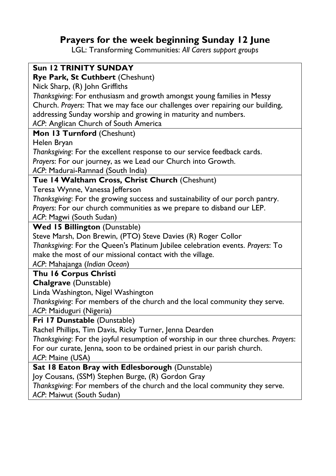# **Prayers for the week beginning Sunday 12 June**

LGL: Transforming Communities: *All Carers support groups*

| <b>Sun 12 TRINITY SUNDAY</b>                                                       |
|------------------------------------------------------------------------------------|
| Rye Park, St Cuthbert (Cheshunt)                                                   |
| Nick Sharp, (R) John Griffiths                                                     |
| Thanksgiving: For enthusiasm and growth amongst young families in Messy            |
| Church. Prayers: That we may face our challenges over repairing our building,      |
| addressing Sunday worship and growing in maturity and numbers.                     |
| ACP: Anglican Church of South America                                              |
| Mon 13 Turnford (Cheshunt)                                                         |
| Helen Bryan                                                                        |
| Thanksgiving: For the excellent response to our service feedback cards.            |
| Prayers: For our journey, as we Lead our Church into Growth.                       |
| ACP: Madurai-Ramnad (South India)                                                  |
| Tue 14 Waltham Cross, Christ Church (Cheshunt)                                     |
| Teresa Wynne, Vanessa Jefferson                                                    |
| Thanksgiving: For the growing success and sustainability of our porch pantry.      |
| Prayers: For our church communities as we prepare to disband our LEP.              |
| ACP: Magwi (South Sudan)                                                           |
| <b>Wed 15 Billington (Dunstable)</b>                                               |
| Steve Marsh, Don Brewin, (PTO) Steve Davies (R) Roger Collor                       |
| Thanksgiving: For the Queen's Platinum Jubilee celebration events. Prayers: To     |
| make the most of our missional contact with the village.                           |
| ACP: Mahajanga (Indian Ocean)                                                      |
| Thu 16 Corpus Christi                                                              |
| <b>Chalgrave</b> (Dunstable)                                                       |
| Linda Washington, Nigel Washington                                                 |
| Thanksgiving: For members of the church and the local community they serve.        |
| ACP: Maiduguri (Nigeria)                                                           |
| Fri 17 Dunstable (Dunstable)                                                       |
| Rachel Phillips, Tim Davis, Ricky Turner, Jenna Dearden                            |
| Thanksgiving: For the joyful resumption of worship in our three churches. Prayers: |
| For our curate, Jenna, soon to be ordained priest in our parish church.            |
| ACP: Maine (USA)                                                                   |
| Sat 18 Eaton Bray with Edlesborough (Dunstable)                                    |
| Joy Cousans, (SSM) Stephen Burge, (R) Gordon Gray                                  |
| Thanksgiving: For members of the church and the local community they serve.        |

*ACP*: Maiwut (South Sudan)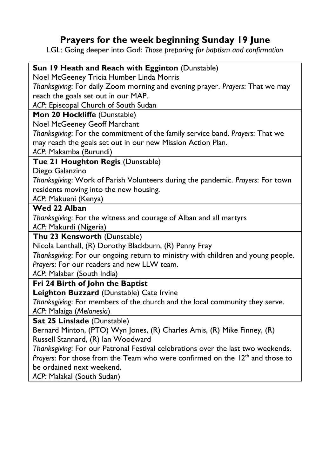## **Prayers for the week beginning Sunday 19 June**

LGL: Going deeper into God: *Those preparing for baptism and confirmation*

## **Sun 19 Heath and Reach with Egginton** (Dunstable)

Noel McGeeney Tricia Humber Linda Morris

*Thanksgiving*: For daily Zoom morning and evening prayer. *Prayers*: That we may reach the goals set out in our MAP.

*ACP*: Episcopal Church of South Sudan

#### **Mon 20 Hockliffe** (Dunstable)

Noel McGeeney Geoff Marchant

*Thanksgiving*: For the commitment of the family service band. *Prayers*: That we may reach the goals set out in our new Mission Action Plan.

*ACP*: Makamba (Burundi)

## **Tue 21 Houghton Regis** (Dunstable)

Diego Galanzino

*Thanksgiving*: Work of Parish Volunteers during the pandemic. *Prayers*: For town residents moving into the new housing.

*ACP*: Makueni (Kenya)

#### **Wed 22 Alban**

*Thanksgiving*: For the witness and courage of Alban and all martyrs *ACP*: Makurdi (Nigeria)

#### **Thu 23 Kensworth** (Dunstable)

Nicola Lenthall, (R) Dorothy Blackburn, (R) Penny Fray

*Thanksgiving*: For our ongoing return to ministry with children and young people. *Prayers*: For our readers and new LLW team.

*ACP*: Malabar (South India)

## **Fri 24 Birth of John the Baptist**

**Leighton Buzzard** (Dunstable) Cate Irvine

*Thanksgiving*: For members of the church and the local community they serve. *ACP*: Malaiga (*Melanesia*)

#### **Sat 25 Linslade** (Dunstable)

Bernard Minton, (PTO) Wyn Jones, (R) Charles Amis, (R) Mike Finney, (R) Russell Stannard, (R) Ian Woodward

*Thanksgiving*: For our Patronal Festival celebrations over the last two weekends. *Prayers*: For those from the Team who were confirmed on the 12<sup>th</sup> and those to be ordained next weekend.

*ACP*: Malakal (South Sudan)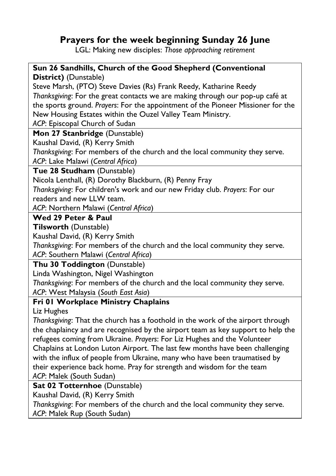## **Prayers for the week beginning Sunday 26 June**

LGL: Making new disciples: *Those approaching retirement*

#### **Sun 26 Sandhills, Church of the Good Shepherd (Conventional District)** (Dunstable)

Steve Marsh, (PTO) Steve Davies (Rs) Frank Reedy, Katharine Reedy *Thanksgiving*: For the great contacts we are making through our pop-up café at the sports ground. *Prayers*: For the appointment of the Pioneer Missioner for the New Housing Estates within the Ouzel Valley Team Ministry.

*ACP*: Episcopal Church of Sudan

**Mon 27 Stanbridge** (Dunstable)

Kaushal David, (R) Kerry Smith

*Thanksgiving*: For members of the church and the local community they serve. *ACP*: Lake Malawi (*Central Africa*)

**Tue 28 Studham** (Dunstable)

Nicola Lenthall, (R) Dorothy Blackburn, (R) Penny Fray

*Thanksgiving*: For children's work and our new Friday club. *Prayers*: For our readers and new LLW team.

*ACP*: Northern Malawi (*Central Africa*)

## **Wed 29 Peter & Paul**

#### **Tilsworth** (Dunstable)

Kaushal David, (R) Kerry Smith

*Thanksgiving*: For members of the church and the local community they serve. *ACP*: Southern Malawi (*Central Africa*)

#### **Thu 30 Toddington** (Dunstable)

Linda Washington, Nigel Washington

*Thanksgiving*: For members of the church and the local community they serve.

*ACP*: West Malaysia (*South East Asia*)

## **Fri 01 Workplace Ministry Chaplains**

Liz Hughes

*Thanksgiving*: That the church has a foothold in the work of the airport through the chaplaincy and are recognised by the airport team as key support to help the refugees coming from Ukraine. *Prayers*: For Liz Hughes and the Volunteer Chaplains at London Luton Airport. The last few months have been challenging with the influx of people from Ukraine, many who have been traumatised by their experience back home. Pray for strength and wisdom for the team *ACP*: Malek (South Sudan)

## **Sat 02 Totternhoe** (Dunstable)

Kaushal David, (R) Kerry Smith

*Thanksgiving*: For members of the church and the local community they serve.

*ACP*: Malek Rup (South Sudan)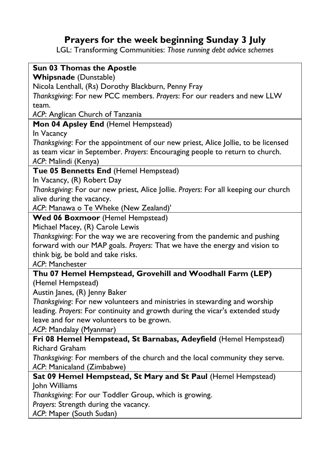# **Prayers for the week beginning Sunday 3 July**

LGL: Transforming Communities: *Those running debt advice schemes*

| Sun 03 Thomas the Apostle                                                           |
|-------------------------------------------------------------------------------------|
| <b>Whipsnade</b> (Dunstable)                                                        |
| Nicola Lenthall, (Rs) Dorothy Blackburn, Penny Fray                                 |
| Thanksgiving: For new PCC members. Prayers: For our readers and new LLW             |
| team.                                                                               |
| ACP: Anglican Church of Tanzania                                                    |
| Mon 04 Apsley End (Hemel Hempstead)                                                 |
| In Vacancy                                                                          |
| Thanksgiving: For the appointment of our new priest, Alice Jollie, to be licensed   |
| as team vicar in September. Prayers: Encouraging people to return to church.        |
| ACP: Malindi (Kenya)                                                                |
| Tue 05 Bennetts End (Hemel Hempstead)                                               |
| In Vacancy, (R) Robert Day                                                          |
| Thanksgiving: For our new priest, Alice Jollie. Prayers: For all keeping our church |
| alive during the vacancy.                                                           |
| ACP: Manawa o Te Wheke (New Zealand)'                                               |
| Wed 06 Boxmoor (Hemel Hempstead)                                                    |
| Michael Macey, (R) Carole Lewis                                                     |
| Thanksgiving: For the way we are recovering from the pandemic and pushing           |
| forward with our MAP goals. Prayers: That we have the energy and vision to          |
| think big, be bold and take risks.                                                  |
| ACP: Manchester                                                                     |
| Thu 07 Hemel Hempstead, Grovehill and Woodhall Farm (LEP)                           |
| (Hemel Hempstead)                                                                   |
| Austin Janes, (R) Jenny Baker                                                       |
| Thanksgiving: For new volunteers and ministries in stewarding and worship           |
| leading. Prayers: For continuity and growth during the vicar's extended study       |
| leave and for new volunteers to be grown.                                           |
| ACP: Mandalay (Myanmar)                                                             |
| Fri 08 Hemel Hempstead, St Barnabas, Adeyfield (Hemel Hempstead)                    |
| Richard Graham                                                                      |
| Thanksgiving: For members of the church and the local community they serve.         |
| ACP: Manicaland (Zimbabwe)                                                          |
| Sat 09 Hemel Hempstead, St Mary and St Paul (Hemel Hempstead)                       |
| John Williams                                                                       |
| Thanksgiving: For our Toddler Group, which is growing.                              |
|                                                                                     |
| Prayers: Strength during the vacancy.                                               |

*ACP*: Maper (South Sudan)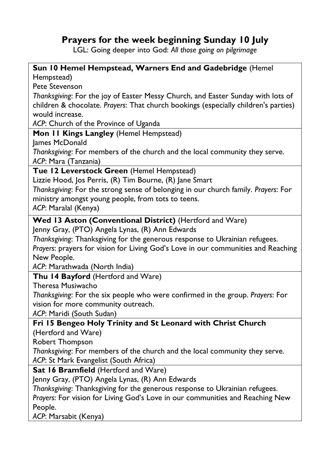## **Prayers for the week beginning Sunday 10 July**

LGL: Going deeper into God: *All those going on pilgrimage*

## **Sun 10 Hemel Hempstead, Warners End and Gadebridge** (Hemel Hempstead) Pete Stevenson *Thanksgiving*: For the joy of Easter Messy Church, and Easter Sunday with lots of children & chocolate. *Prayers*: That church bookings (especially children's parties) would increase. *ACP*: Church of the Province of Uganda **Mon 11 Kings Langley** (Hemel Hempstead) James McDonald *Thanksgiving*: For members of the church and the local community they serve. *ACP*: Mara (Tanzania) **Tue 12 Leverstock Green** (Hemel Hempstead) Lizzie Hood, Jos Perris, (R) Tim Bourne, (R) Jane Smart *Thanksgiving*: For the strong sense of belonging in our church family. *Prayers*: For ministry amongst young people, from tots to teens. *ACP*: Maralal (Kenya) **Wed 13 Aston (Conventional District)** (Hertford and Ware) Jenny Gray, (PTO) Angela Lynas, (R) Ann Edwards *Thanksgiving*: Thanksgiving for the generous response to Ukrainian refugees. *Prayers*: prayers for vision for Living God's Love in our communities and Reaching New People. *ACP*: Marathwada (North India) **Thu 14 Bayford** (Hertford and Ware) Theresa Musiwacho *Thanksgiving*: For the six people who were confirmed in the group. *Prayers*: For vision for more community outreach. *ACP*: Maridi (South Sudan) **Fri 15 Bengeo Holy Trinity and St Leonard with Christ Church** (Hertford and Ware) Robert Thompson *Thanksgiving*: For members of the church and the local community they serve. *ACP*: St Mark Evangelist (South Africa) **Sat 16 Bramfield** (Hertford and Ware) Jenny Gray, (PTO) Angela Lynas, (R) Ann Edwards *Thanksgiving*: Thanksgiving for the generous response to Ukrainian refugees. *Prayers*: For vision for Living God's Love in our communities and Reaching New People. *ACP*: Marsabit (Kenya)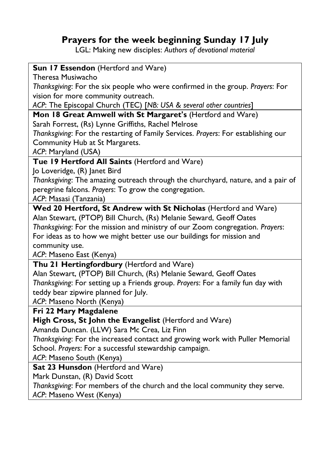## **Prayers for the week beginning Sunday 17 July**

LGL: Making new disciples: *Authors of devotional material*

#### **Sun 17 Essendon** (Hertford and Ware)

Theresa Musiwacho

*Thanksgiving*: For the six people who were confirmed in the group. *Prayers*: For vision for more community outreach.

*ACP*: The Episcopal Church (TEC) [*NB: USA & several other countries*]

**Mon 18 Great Amwell with St Margaret's** (Hertford and Ware)

Sarah Forrest, (Rs) Lynne Griffiths, Rachel Melrose

*Thanksgiving*: For the restarting of Family Services. *Prayers*: For establishing our Community Hub at St Margarets.

*ACP*: Maryland (USA)

## **Tue 19 Hertford All Saints** (Hertford and Ware)

Jo Loveridge, (R) Janet Bird

*Thanksgiving*: The amazing outreach through the churchyard, nature, and a pair of peregrine falcons. *Prayers*: To grow the congregation.

*ACP*: Masasi (Tanzania)

**Wed 20 Hertford, St Andrew with St Nicholas** (Hertford and Ware) Alan Stewart, (PTOP) Bill Church, (Rs) Melanie Seward, Geoff Oates

*Thanksgiving*: For the mission and ministry of our Zoom congregation. *Prayers*: For ideas as to how we might better use our buildings for mission and community use.

*ACP*: Maseno East (Kenya)

**Thu 21 Hertingfordbury** (Hertford and Ware)

Alan Stewart, (PTOP) Bill Church, (Rs) Melanie Seward, Geoff Oates *Thanksgiving*: For setting up a Friends group. *Prayers*: For a family fun day with teddy bear zipwire planned for July.

*ACP*: Maseno North (Kenya)

**Fri 22 Mary Magdalene**

**High Cross, St John the Evangelist** (Hertford and Ware)

Amanda Duncan. (LLW) Sara Mc Crea, Liz Finn

*Thanksgiving*: For the increased contact and growing work with Puller Memorial School. *Prayers*: For a successful stewardship campaign.

*ACP*: Maseno South (Kenya)

**Sat 23 Hunsdon** (Hertford and Ware)

Mark Dunstan, (R) David Scott

*Thanksgiving*: For members of the church and the local community they serve. *ACP*: Maseno West (Kenya)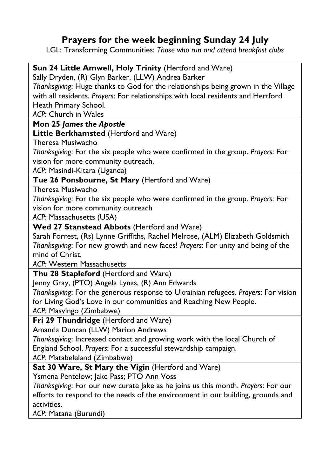# **Prayers for the week beginning Sunday 24 July**

LGL: Transforming Communities: *Those who run and attend breakfast clubs*

| <b>Sun 24 Little Amwell, Holy Trinity</b> (Hertford and Ware)                      |
|------------------------------------------------------------------------------------|
| Sally Dryden, (R) Glyn Barker, (LLW) Andrea Barker                                 |
| Thanksgiving: Huge thanks to God for the relationships being grown in the Village  |
| with all residents. Prayers: For relationships with local residents and Hertford   |
| Heath Primary School.                                                              |
| ACP: Church in Wales                                                               |
| Mon 25 James the Apostle                                                           |
| Little Berkhamsted (Hertford and Ware)                                             |
| Theresa Musiwacho                                                                  |
| Thanksgiving: For the six people who were confirmed in the group. Prayers: For     |
| vision for more community outreach.                                                |
| ACP: Masindi-Kitara (Uganda)                                                       |
| Tue 26 Ponsbourne, St Mary (Hertford and Ware)                                     |
| Theresa Musiwacho                                                                  |
| Thanksgiving: For the six people who were confirmed in the group. Prayers: For     |
| vision for more community outreach                                                 |
| ACP: Massachusetts (USA)                                                           |
| Wed 27 Stanstead Abbots (Hertford and Ware)                                        |
| Sarah Forrest, (Rs) Lynne Griffiths, Rachel Melrose, (ALM) Elizabeth Goldsmith     |
| Thanksgiving: For new growth and new faces! Prayers: For unity and being of the    |
| mind of Christ.                                                                    |
| ACP: Western Massachusetts                                                         |
| Thu 28 Stapleford (Hertford and Ware)                                              |
| Jenny Gray, (PTO) Angela Lynas, (R) Ann Edwards                                    |
| Thanksgiving: For the generous response to Ukrainian refugees. Prayers: For vision |
| for Living God's Love in our communities and Reaching New People.                  |
| ACP: Masvingo (Zimbabwe)                                                           |
| Fri 29 Thundridge (Hertford and Ware)                                              |
| Amanda Duncan (LLW) Marion Andrews                                                 |
| Thanksgiving: Increased contact and growing work with the local Church of          |
| England School. Prayers: For a successful stewardship campaign.                    |
| ACP: Matabeleland (Zimbabwe)                                                       |
| Sat 30 Ware, St Mary the Vigin (Hertford and Ware)                                 |

Ysmena Pentelow; Jake Pass; PTO Ann Voss

*Thanksgiving*: For our new curate Jake as he joins us this month. *Prayers*: For our efforts to respond to the needs of the environment in our building, grounds and activities.

*ACP*: Matana (Burundi)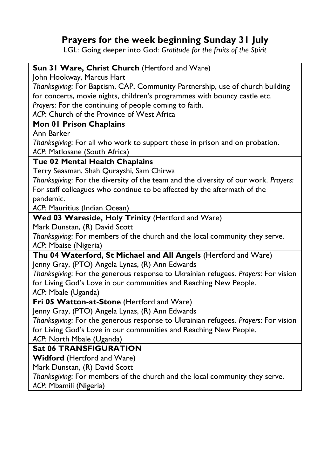## **Prayers for the week beginning Sunday 31 July**

LGL: Going deeper into God: *Gratitude for the fruits of the Spirit*

| Sun 31 Ware, Christ Church (Hertford and Ware)                                      |
|-------------------------------------------------------------------------------------|
| John Hookway, Marcus Hart                                                           |
| Thanksgiving: For Baptism, CAP, Community Partnership, use of church building       |
| for concerts, movie nights, children's programmes with bouncy castle etc.           |
| Prayers: For the continuing of people coming to faith.                              |
| ACP: Church of the Province of West Africa                                          |
| Mon 01 Prison Chaplains                                                             |
| Ann Barker                                                                          |
| Thanksgiving: For all who work to support those in prison and on probation.         |
| ACP: Matlosane (South Africa)                                                       |
| Tue 02 Mental Health Chaplains                                                      |
| Terry Seasman, Shah Qurayshi, Sam Chirwa                                            |
| Thanksgiving: For the diversity of the team and the diversity of our work. Prayers: |
| For staff colleagues who continue to be affected by the aftermath of the            |
| pandemic.                                                                           |
| ACP: Mauritius (Indian Ocean)                                                       |
| Wed 03 Wareside, Holy Trinity (Hertford and Ware)                                   |
| Mark Dunstan, (R) David Scott                                                       |
| Thanksgiving: For members of the church and the local community they serve.         |
| ACP: Mbaise (Nigeria)                                                               |
| Thu 04 Waterford, St Michael and All Angels (Hertford and Ware)                     |
| Jenny Gray, (PTO) Angela Lynas, (R) Ann Edwards                                     |
| Thanksgiving: For the generous response to Ukrainian refugees. Prayers: For vision  |
| for Living God's Love in our communities and Reaching New People.                   |
| ACP: Mbale (Uganda)                                                                 |
| Fri 05 Watton-at-Stone (Hertford and Ware)                                          |
| Jenny Gray, (PTO) Angela Lynas, (R) Ann Edwards                                     |
| Thanksgiving: For the generous response to Ukrainian refugees. Prayers: For vision  |
| for Living God's Love in our communities and Reaching New People.                   |
| ACP: North Mbale (Uganda)                                                           |
| <b>Sat 06 TRANSFIGURATION</b>                                                       |
| <b>Widford</b> (Hertford and Ware)                                                  |
| Mark Dunstan, (R) David Scott                                                       |
| Thanksgiving: For members of the church and the local community they serve.         |
| ACP: Mbamili (Nigeria)                                                              |
|                                                                                     |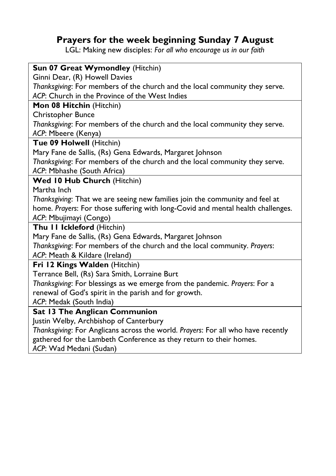# **Prayers for the week beginning Sunday 7 August**

LGL: Making new disciples: *For all who encourage us in our faith*

| Sun 07 Great Wymondley (Hitchin)                                                 |
|----------------------------------------------------------------------------------|
| Ginni Dear, (R) Howell Davies                                                    |
| Thanksgiving: For members of the church and the local community they serve.      |
| ACP: Church in the Province of the West Indies                                   |
| Mon 08 Hitchin (Hitchin)                                                         |
| Christopher Bunce                                                                |
| Thanksgiving: For members of the church and the local community they serve.      |
| ACP: Mbeere (Kenya)                                                              |
| Tue 09 Holwell (Hitchin)                                                         |
| Mary Fane de Sallis, (Rs) Gena Edwards, Margaret Johnson                         |
| Thanksgiving: For members of the church and the local community they serve.      |
| ACP: Mbhashe (South Africa)                                                      |
| Wed 10 Hub Church (Hitchin)                                                      |
| Martha Inch                                                                      |
| Thanksgiving: That we are seeing new families join the community and feel at     |
| home. Prayers: For those suffering with long-Covid and mental health challenges. |
| ACP: Mbujimayi (Congo)                                                           |
| Thu II Ickleford (Hitchin)                                                       |
| Mary Fane de Sallis, (Rs) Gena Edwards, Margaret Johnson                         |
| Thanksgiving: For members of the church and the local community. Prayers:        |
| ACP: Meath & Kildare (Ireland)                                                   |
| Fri 12 Kings Walden (Hitchin)                                                    |
| Terrance Bell, (Rs) Sara Smith, Lorraine Burt                                    |
| Thanksgiving: For blessings as we emerge from the pandemic. Prayers: For a       |
| renewal of God's spirit in the parish and for growth.                            |
| ACP: Medak (South India)                                                         |
| Sat 13 The Anglican Communion                                                    |
| Justin Welby, Archbishop of Canterbury                                           |
| Thanksgiving: For Anglicans across the world. Prayers: For all who have recently |
| gathered for the Lambeth Conference as they return to their homes.               |

*ACP*: Wad Medani (Sudan)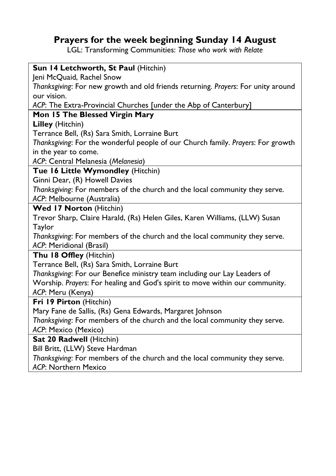## **Prayers for the week beginning Sunday 14 August**

LGL: Transforming Communities: *Those who work with Relate*

| Sun 14 Letchworth, St Paul (Hitchin)                                              |
|-----------------------------------------------------------------------------------|
| Jeni McQuaid, Rachel Snow                                                         |
| Thanksgiving: For new growth and old friends returning. Prayers: For unity around |
| our vision.                                                                       |
| ACP: The Extra-Provincial Churches [under the Abp of Canterbury]                  |
| Mon 15 The Blessed Virgin Mary                                                    |
| Lilley (Hitchin)                                                                  |
| Terrance Bell, (Rs) Sara Smith, Lorraine Burt                                     |
| Thanksgiving: For the wonderful people of our Church family. Prayers: For growth  |
| in the year to come.                                                              |
| ACP: Central Melanesia (Melanesia)                                                |
| Tue 16 Little Wymondley (Hitchin)                                                 |
| Ginni Dear, (R) Howell Davies                                                     |
| Thanksgiving: For members of the church and the local community they serve.       |
| ACP: Melbourne (Australia)                                                        |
| <b>Wed 17 Norton (Hitchin)</b>                                                    |
| Trevor Sharp, Claire Harald, (Rs) Helen Giles, Karen Williams, (LLW) Susan        |
| Taylor                                                                            |
| Thanksgiving: For members of the church and the local community they serve.       |
| ACP: Meridional (Brasil)                                                          |
| Thu 18 Offley (Hitchin)                                                           |
| Terrance Bell, (Rs) Sara Smith, Lorraine Burt                                     |
| Thanksgiving: For our Benefice ministry team including our Lay Leaders of         |
| Worship. Prayers: For healing and God's spirit to move within our community.      |
| ACP: Meru (Kenya)                                                                 |
| Fri 19 Pirton (Hitchin)                                                           |
| Mary Fane de Sallis, (Rs) Gena Edwards, Margaret Johnson                          |
| Thanksgiving: For members of the church and the local community they serve.       |
| ACP: Mexico (Mexico)                                                              |
| Sat 20 Radwell (Hitchin)                                                          |
| Bill Britt, (LLW) Steve Hardman                                                   |
| Thanksgiving: For members of the church and the local community they serve.       |
| ACP: Northern Mexico                                                              |
|                                                                                   |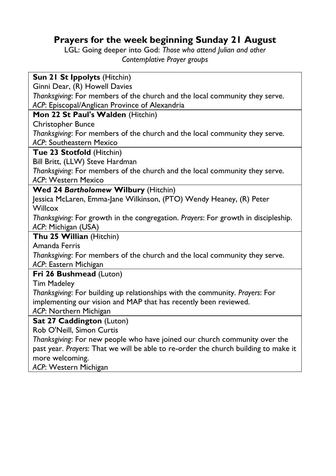# **Prayers for the week beginning Sunday 21 August**

LGL: Going deeper into God: *Those who attend Julian and other Contemplative Prayer groups*

| Sun 21 St Ippolyts (Hitchin)                                                        |  |
|-------------------------------------------------------------------------------------|--|
| Ginni Dear, (R) Howell Davies                                                       |  |
| Thanksgiving: For members of the church and the local community they serve.         |  |
| ACP: Episcopal/Anglican Province of Alexandria                                      |  |
| Mon 22 St Paul's Walden (Hitchin)                                                   |  |
| Christopher Bunce                                                                   |  |
| Thanksgiving: For members of the church and the local community they serve.         |  |
| ACP: Southeastern Mexico                                                            |  |
| Tue 23 Stotfold (Hitchin)                                                           |  |
| Bill Britt, (LLW) Steve Hardman                                                     |  |
| Thanksgiving: For members of the church and the local community they serve.         |  |
| ACP: Western Mexico                                                                 |  |
| Wed 24 Bartholomew Wilbury (Hitchin)                                                |  |
| Jessica McLaren, Emma-Jane Wilkinson, (PTO) Wendy Heaney, (R) Peter                 |  |
| Willcox                                                                             |  |
| Thanksgiving: For growth in the congregation. Prayers: For growth in discipleship.  |  |
| ACP: Michigan (USA)                                                                 |  |
| Thu 25 Willian (Hitchin)                                                            |  |
| Amanda Ferris                                                                       |  |
| Thanksgiving: For members of the church and the local community they serve.         |  |
| ACP: Eastern Michigan                                                               |  |
| Fri 26 Bushmead (Luton)                                                             |  |
| <b>Tim Madeley</b>                                                                  |  |
| Thanksgiving: For building up relationships with the community. Prayers: For        |  |
| implementing our vision and MAP that has recently been reviewed.                    |  |
| ACP: Northern Michigan                                                              |  |
| Sat 27 Caddington (Luton)                                                           |  |
| Rob O'Neill, Simon Curtis                                                           |  |
| Thanksgiving: For new people who have joined our church community over the          |  |
| past year. Prayers: That we will be able to re-order the church building to make it |  |
| more welcoming.                                                                     |  |

*ACP*: Western Michigan